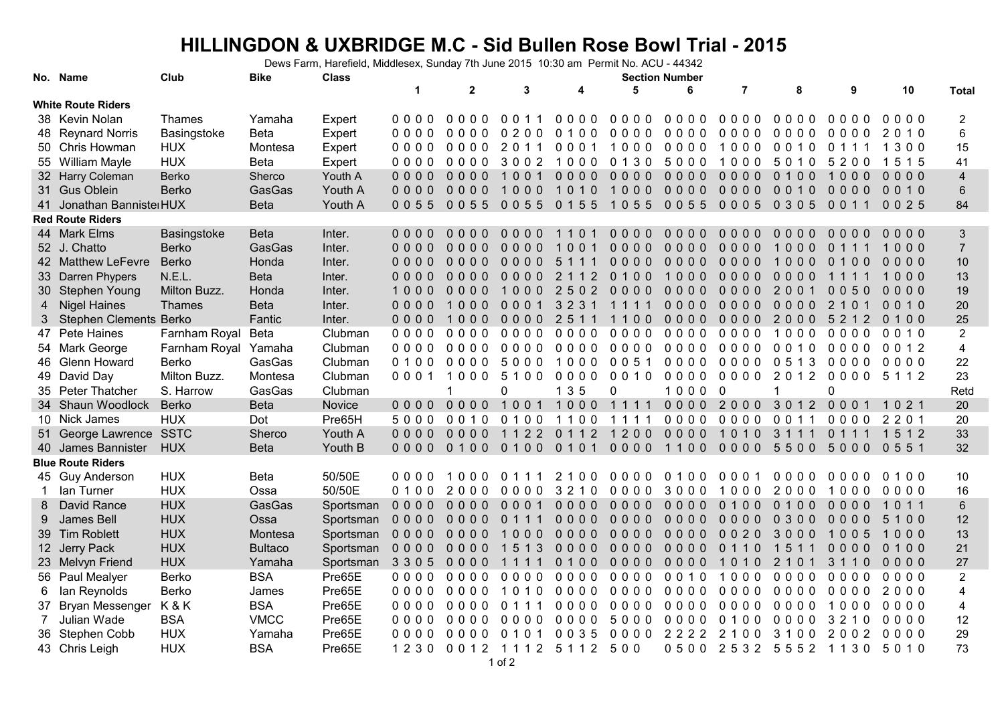## **HILLINGDON & UXBRIDGE M.C - Sid Bullen Rose Bowl Trial - 2015**

Dews Farm, Harefield, Middlesex, Sunday 7th June 2015 10:30 am Permit No. ACU - 44342

|                           | No. Name                      | Club                 | Bike           | <b>Class</b> |         | <b>Section Number</b> |                       |                            |                         |           |                          |                           |                             |                      |                         |
|---------------------------|-------------------------------|----------------------|----------------|--------------|---------|-----------------------|-----------------------|----------------------------|-------------------------|-----------|--------------------------|---------------------------|-----------------------------|----------------------|-------------------------|
|                           |                               |                      |                |              | 1       | $\overline{2}$        | 3                     | 4                          | 5                       | 6         | $\overline{7}$           | 8                         | 9                           | 10                   | <b>Total</b>            |
| <b>White Route Riders</b> |                               |                      |                |              |         |                       |                       |                            |                         |           |                          |                           |                             |                      |                         |
|                           | 38 Kevin Nolan                | Thames               | Yamaha         | Expert       | 0000    | $0000$                | 0011                  | $0000$                     | 0000                    | 0000      | 0000                     | 0000                      | 0000                        | 0000                 | $\overline{2}$          |
|                           | 48 Reynard Norris             | Basingstoke          | <b>Beta</b>    | Expert       | 0000    | $0000$                | 0200                  | $0.100$                    | 0000                    | 0000      | 0000                     | 0000                      | 0000                        | 2010                 | 6                       |
|                           | 50 Chris Howman               | <b>HUX</b>           | Montesa        | Expert       | 0000    | 0000                  | 2011                  | 0001                       | 1000                    | 0000      | 1000                     | 0010                      | 0 1 1 1                     | 1300                 | 15                      |
|                           | 55 William Mayle              | <b>HUX</b>           | <b>Beta</b>    | Expert       | 0000    | 0000                  | 3002                  | 1000                       | 0 1 3 0                 | 5000      | 1000                     | 5010                      | 5200                        | 5 1 5<br>$\mathbf 1$ | 41                      |
|                           | 32 Harry Coleman              | <b>Berko</b>         | Sherco         | Youth A      | $0000$  | $0000$                | 1001                  | $0000$                     | $0000$                  | $0000$    | $0000$                   | 0100                      | 1000                        | $0000$               | $\overline{\mathbf{4}}$ |
|                           | 31 Gus Oblein                 | <b>Berko</b>         | GasGas         | Youth A      | $0000$  | $0000$                | 1000                  | 1010                       | 1000                    | 0000      | 0000                     | 0010                      | $0000$                      | 0010                 | $\,6$                   |
|                           | 41 Jonathan Banniste HUX      |                      | <b>Beta</b>    | Youth A      | 0055    | 0055                  | 0055                  | 0 1 5 5                    | 1055                    | 0055      | 0005                     | 0 3 0 5                   | 0 0 1 1                     | 0025                 | 84                      |
| <b>Red Route Riders</b>   |                               |                      |                |              |         |                       |                       |                            |                         |           |                          |                           |                             |                      |                         |
|                           | 44 Mark Elms                  | Basingstoke          | <b>Beta</b>    | Inter.       | 0000    | 0000                  | 0000                  | $\Omega$                   | 0000                    | 0000      | 0000                     | $\Omega$<br>0<br>$\Omega$ | $\Omega$<br>$\Omega$<br>0 O | 000<br>$\Omega$      | $\mathbf{3}$            |
|                           | 52 J. Chatto                  | <b>Berko</b>         | GasGas         | Inter.       | $0000$  | $0000$                | 0000                  | 1 <sub>0</sub><br>$\Omega$ | 0000                    | $0000$    | $0000$                   | 1000                      | $\Omega$<br>$1 \; 1$        | 1000                 | $\overline{7}$          |
|                           | 42 Matthew LeFevre            | <b>Berko</b>         | Honda          | Inter.       | $0000$  | $0000$                | $0000$                | 511<br>$\overline{1}$      | $0000$                  | $0000$    | $0000$                   | 1000                      | 0100                        | $0000$               | 10                      |
|                           | 33 Darren Phypers             | N.E.L.               | <b>Beta</b>    | Inter.       | $0000$  | $0000$                | $0000$                | 2 1 1 2                    | 0100                    | 1000      | $0000$                   | $0000$                    | 1111                        | 1000                 | 13                      |
|                           | 30 Stephen Young              | Milton Buzz.         | Honda          | Inter.       | 1000    | $0000$                | 1000                  | 2502                       | $0000$                  | $0000$    | $0000$                   | 200                       | 0050                        | 0000                 | 19                      |
| 4                         | <b>Nigel Haines</b>           | Thames               | <b>Beta</b>    | Inter.       | 0000    | 1000                  | 0001                  | 3 2 3 1                    | 1 1 1<br>$\overline{1}$ | $0000$    | 0000                     | $0000$                    | 2 1 0                       | 0010                 | 20                      |
| 3                         | <b>Stephen Clements Berko</b> |                      | Fantic         | Inter.       | $0000$  | 1000                  | $0000$                | 2511                       | 1100                    | $0000$    | $0000$                   | 2000                      | 5 2 1 2                     | 0100                 | 25                      |
|                           | 47 Pete Haines                | Farnham Royal        | Beta           | Clubman      | 0000    | $0000$                | $0000$                | $0000$                     | $0000$                  | $0000$    | $0000$                   | 1000                      | $0000$                      | 0010                 | $\overline{2}$          |
|                           | 54 Mark George                | Farnham Royal Yamaha |                | Clubman      | 0000    | 0000                  | $0000$                | 0000                       | 0000                    | 0000      | 0000                     | 0010                      | $0000$                      | 0012                 | $\overline{4}$          |
| 46.                       | <b>Glenn Howard</b>           | Berko                | GasGas         | Clubman      | 0100    | 0000                  | 5000                  | 1000                       | 0051                    | 0000      | 0000                     | 0513                      | 0000                        | 0000                 | 22                      |
|                           | 49 David Day                  | Milton Buzz.         | Montesa        | Clubman      | 0001    | 1000                  | 5100                  | 0000                       | 0010                    | 0000      | 0000                     | 2012                      | 0000                        | 5 1 1 2              | 23                      |
|                           | 35 Peter Thatcher             | S. Harrow            | GasGas         | Clubman      |         | $\blacktriangleleft$  | 0                     | 1 3 5                      | $\mathbf{0}$            | 1000      | $\overline{\phantom{0}}$ | $\blacktriangleleft$      | 0                           |                      | Retd                    |
|                           | 34 Shaun Woodlock             | <b>Berko</b>         | <b>Beta</b>    | Novice       | 0000    | 0000                  | 1001                  | 1000 1111                  |                         | 0000 2000 |                          | 3 0 1 2                   | 0001                        | 1021                 | 20                      |
|                           | 10 Nick James                 | <b>HUX</b>           | Dot            | Pre65H       | 5000    | 0010                  | 0100                  | 1100                       | 1111                    | 0000      | 0000                     | 0 0 1 1                   | 0000                        | 2201                 | 20                      |
|                           | 51 George Lawrence SSTC       |                      | Sherco         | Youth A      | $0000$  | $0000$                | 1122                  | 0 1 1 2                    | 1200                    | 0000      | 1010                     | 3 1 1 1                   | 0 1 1 1                     | 1512                 | 33                      |
|                           | 40 James Bannister            | <b>HUX</b>           | <b>Beta</b>    | Youth B      | 0000    | 0100                  | 0100                  | 0 1 0 1                    | 0000                    | 1100      | 0000                     | 5500                      | 5000                        | 0 5 5 1              | 32                      |
|                           | <b>Blue Route Riders</b>      |                      |                |              |         |                       |                       |                            |                         |           |                          |                           |                             |                      |                         |
|                           | 45 Guy Anderson               | <b>HUX</b>           | <b>Beta</b>    | 50/50E       | 0000    | 1000                  | 0 1 1 1               | 2100                       | 0000                    | $0.100$   | 000                      | 0000                      | 0000                        | 0 1 0 0              | 10                      |
|                           | lan Turner                    | <b>HUX</b>           | Ossa           | 50/50E       | 0100    | 2000                  | $0000$                | 3210                       | $0000$                  | 3000      | 1000                     | 2000                      | 1000                        | $0000$               | 16                      |
| 8                         | David Rance                   | <b>HUX</b>           | GasGas         | Sportsman    | $0000$  | $0000$                | 0001                  | 0000                       | 0000                    | $0000$    | 0,1,0,0                  | 0100                      | $0000$                      | 1011                 | $6\phantom{1}$          |
| 9                         | James Bell                    | <b>HUX</b>           | Ossa           | Sportsman    | 0000    | $0000$                | 011<br>$\overline{1}$ | $0000$                     | 0000                    | 0000      | $0000$                   | 0300                      | $0000$                      | 5100                 | 12                      |
|                           | 39 Tim Roblett                | <b>HUX</b>           | Montesa        | Sportsman    | $0000$  | $0000$                | 1000                  | $0000$                     | $0000$                  | $0000$    | 0020                     | 3000                      | 1005                        | 000                  | 13                      |
|                           | 12 Jerry Pack                 | <b>HUX</b>           | <b>Bultaco</b> | Sportsman    | $0000$  | $0000$                | 3<br>151              | $0000$                     | $0000$                  | $0000$    | 0 1 1 0                  | 1511                      | $0000$                      | 0100                 | 21                      |
|                           | 23 Melvyn Friend              | <b>HUX</b>           | Yamaha         | Sportsman    | 3 3 0 5 | $0000$                | 1111                  | 0100                       | 0000                    | $0000$    | 1010                     | 2 1 0 1                   | 3 1 1 0                     | $0000$               | 27                      |
|                           | 56 Paul Mealyer               | Berko                | <b>BSA</b>     | Pre65E       | 0000    | 0000                  | $0000$                | $0000$                     | $0000$                  | 0010      | 1000                     | $0000$                    | 0000                        | 0000                 | $\overline{2}$          |
| 6                         | lan Reynolds                  | Berko                | James          | Pre65E       | 0000    | 0000                  | 1010                  | 0000                       | 0000                    | 0000      | 0000                     | 0000                      | 0000                        | 2000                 | 4                       |
| 37                        | Bryan Messenger               | K&K                  | <b>BSA</b>     | Pre65E       | 0000    | 0000                  | 0 1 1 1               | 0000                       | 0000                    | 0000      | 0000                     | 0000                      | 1000                        | 0000                 | 4                       |
| $7^{\circ}$               | Julian Wade                   | <b>BSA</b>           | <b>VMCC</b>    | Pre65E       | 0000    | 0000                  | 0000                  | 0000                       | 5000                    | 0000      | 0100                     | $0000$                    | 3 2 1 0                     | 0000                 | 12                      |
| 36                        | Stephen Cobb                  | <b>HUX</b>           | Yamaha         | Pre65E       | $0000$  | 0000                  | 0101                  | 0035                       | 0000                    | 2222      | 2100                     | 3100                      | 2002                        | 0000                 | 29                      |
|                           | 43 Chris Leigh                | <b>HUX</b>           | <b>BSA</b>     | Pre65E       | 1230    | 0012 1112 5112 500    |                       |                            |                         |           |                          | 0500 2532 5552 1130       |                             | 5010                 | 73                      |